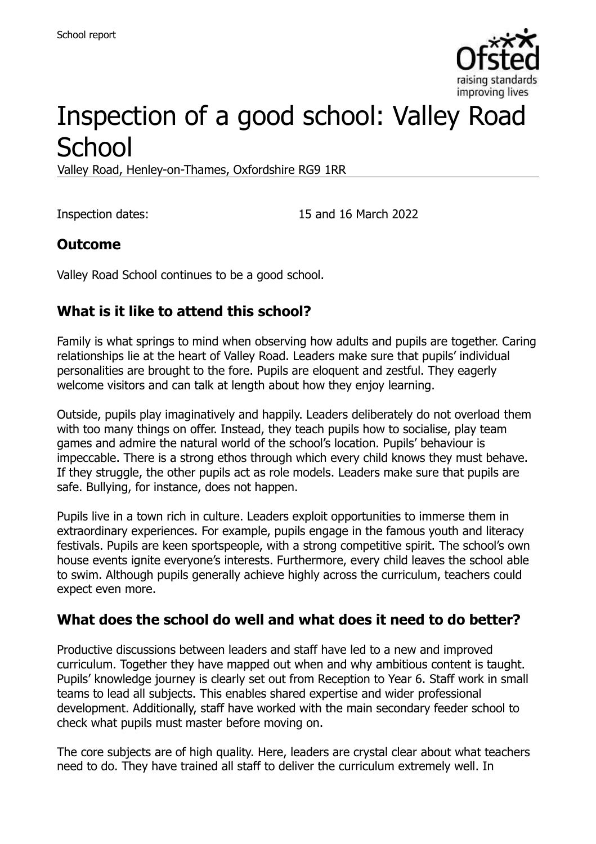

# Inspection of a good school: Valley Road **School**

Valley Road, Henley-on-Thames, Oxfordshire RG9 1RR

Inspection dates: 15 and 16 March 2022

#### **Outcome**

Valley Road School continues to be a good school.

# **What is it like to attend this school?**

Family is what springs to mind when observing how adults and pupils are together. Caring relationships lie at the heart of Valley Road. Leaders make sure that pupils' individual personalities are brought to the fore. Pupils are eloquent and zestful. They eagerly welcome visitors and can talk at length about how they enjoy learning.

Outside, pupils play imaginatively and happily. Leaders deliberately do not overload them with too many things on offer. Instead, they teach pupils how to socialise, play team games and admire the natural world of the school's location. Pupils' behaviour is impeccable. There is a strong ethos through which every child knows they must behave. If they struggle, the other pupils act as role models. Leaders make sure that pupils are safe. Bullying, for instance, does not happen.

Pupils live in a town rich in culture. Leaders exploit opportunities to immerse them in extraordinary experiences. For example, pupils engage in the famous youth and literacy festivals. Pupils are keen sportspeople, with a strong competitive spirit. The school's own house events ignite everyone's interests. Furthermore, every child leaves the school able to swim. Although pupils generally achieve highly across the curriculum, teachers could expect even more.

#### **What does the school do well and what does it need to do better?**

Productive discussions between leaders and staff have led to a new and improved curriculum. Together they have mapped out when and why ambitious content is taught. Pupils' knowledge journey is clearly set out from Reception to Year 6. Staff work in small teams to lead all subjects. This enables shared expertise and wider professional development. Additionally, staff have worked with the main secondary feeder school to check what pupils must master before moving on.

The core subjects are of high quality. Here, leaders are crystal clear about what teachers need to do. They have trained all staff to deliver the curriculum extremely well. In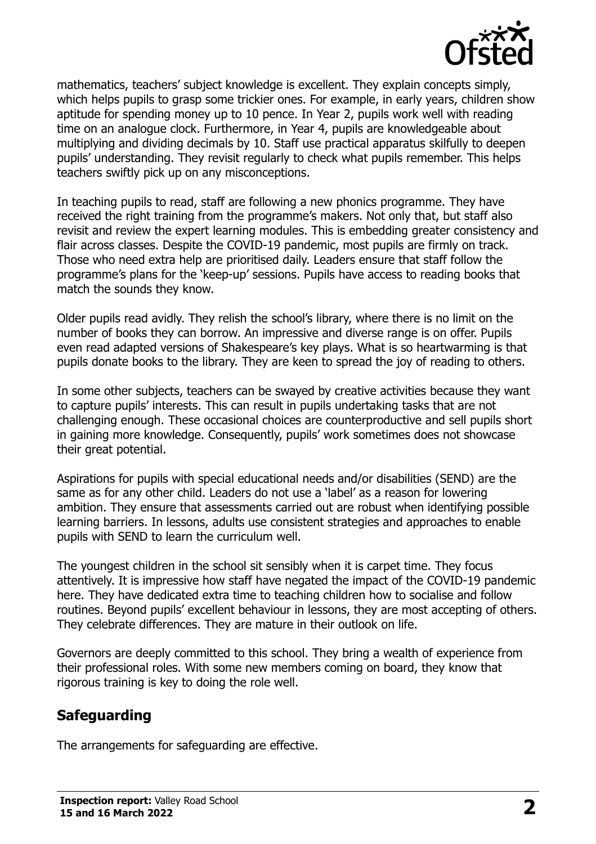

mathematics, teachers' subject knowledge is excellent. They explain concepts simply, which helps pupils to grasp some trickier ones. For example, in early years, children show aptitude for spending money up to 10 pence. In Year 2, pupils work well with reading time on an analogue clock. Furthermore, in Year 4, pupils are knowledgeable about multiplying and dividing decimals by 10. Staff use practical apparatus skilfully to deepen pupils' understanding. They revisit regularly to check what pupils remember. This helps teachers swiftly pick up on any misconceptions.

In teaching pupils to read, staff are following a new phonics programme. They have received the right training from the programme's makers. Not only that, but staff also revisit and review the expert learning modules. This is embedding greater consistency and flair across classes. Despite the COVID-19 pandemic, most pupils are firmly on track. Those who need extra help are prioritised daily. Leaders ensure that staff follow the programme's plans for the 'keep-up' sessions. Pupils have access to reading books that match the sounds they know.

Older pupils read avidly. They relish the school's library, where there is no limit on the number of books they can borrow. An impressive and diverse range is on offer. Pupils even read adapted versions of Shakespeare's key plays. What is so heartwarming is that pupils donate books to the library. They are keen to spread the joy of reading to others.

In some other subjects, teachers can be swayed by creative activities because they want to capture pupils' interests. This can result in pupils undertaking tasks that are not challenging enough. These occasional choices are counterproductive and sell pupils short in gaining more knowledge. Consequently, pupils' work sometimes does not showcase their great potential.

Aspirations for pupils with special educational needs and/or disabilities (SEND) are the same as for any other child. Leaders do not use a 'label' as a reason for lowering ambition. They ensure that assessments carried out are robust when identifying possible learning barriers. In lessons, adults use consistent strategies and approaches to enable pupils with SEND to learn the curriculum well.

The youngest children in the school sit sensibly when it is carpet time. They focus attentively. It is impressive how staff have negated the impact of the COVID-19 pandemic here. They have dedicated extra time to teaching children how to socialise and follow routines. Beyond pupils' excellent behaviour in lessons, they are most accepting of others. They celebrate differences. They are mature in their outlook on life.

Governors are deeply committed to this school. They bring a wealth of experience from their professional roles. With some new members coming on board, they know that rigorous training is key to doing the role well.

# **Safeguarding**

The arrangements for safeguarding are effective.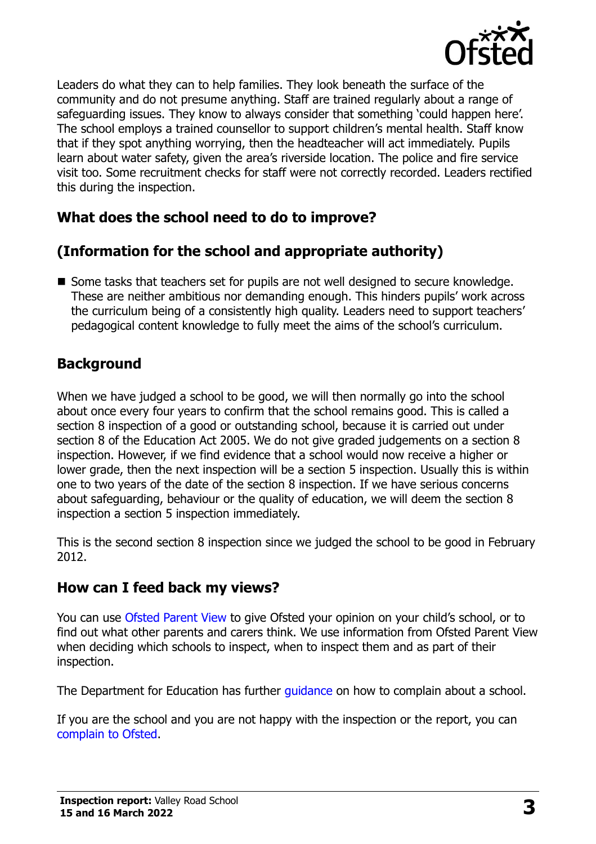

Leaders do what they can to help families. They look beneath the surface of the community and do not presume anything. Staff are trained regularly about a range of safeguarding issues. They know to always consider that something 'could happen here'. The school employs a trained counsellor to support children's mental health. Staff know that if they spot anything worrying, then the headteacher will act immediately. Pupils learn about water safety, given the area's riverside location. The police and fire service visit too. Some recruitment checks for staff were not correctly recorded. Leaders rectified this during the inspection.

### **What does the school need to do to improve?**

### **(Information for the school and appropriate authority)**

■ Some tasks that teachers set for pupils are not well designed to secure knowledge. These are neither ambitious nor demanding enough. This hinders pupils' work across the curriculum being of a consistently high quality. Leaders need to support teachers' pedagogical content knowledge to fully meet the aims of the school's curriculum.

### **Background**

When we have judged a school to be good, we will then normally go into the school about once every four years to confirm that the school remains good. This is called a section 8 inspection of a good or outstanding school, because it is carried out under section 8 of the Education Act 2005. We do not give graded judgements on a section 8 inspection. However, if we find evidence that a school would now receive a higher or lower grade, then the next inspection will be a section 5 inspection. Usually this is within one to two years of the date of the section 8 inspection. If we have serious concerns about safeguarding, behaviour or the quality of education, we will deem the section 8 inspection a section 5 inspection immediately.

This is the second section 8 inspection since we judged the school to be good in February 2012.

#### **How can I feed back my views?**

You can use [Ofsted Parent View](https://parentview.ofsted.gov.uk/) to give Ofsted your opinion on your child's school, or to find out what other parents and carers think. We use information from Ofsted Parent View when deciding which schools to inspect, when to inspect them and as part of their inspection.

The Department for Education has further quidance on how to complain about a school.

If you are the school and you are not happy with the inspection or the report, you can [complain to Ofsted.](https://www.gov.uk/complain-ofsted-report)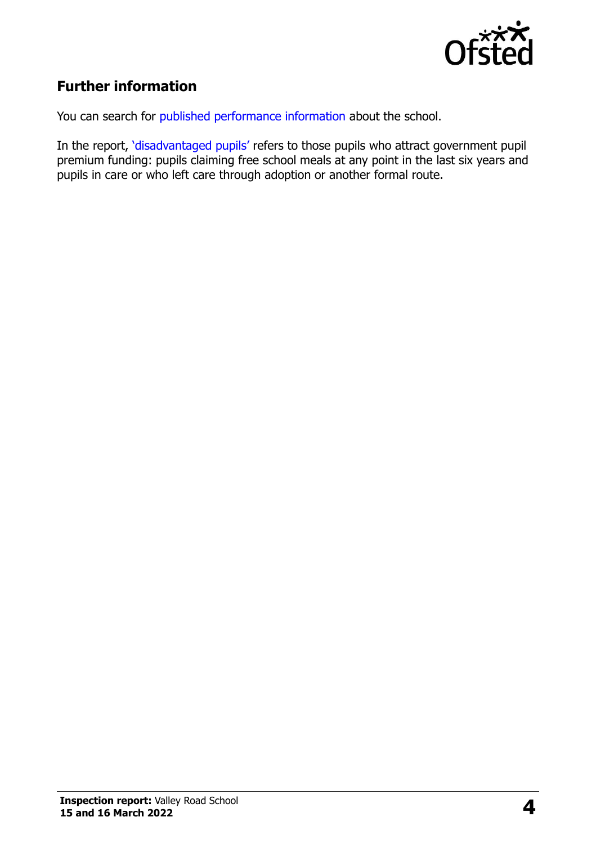

# **Further information**

You can search for [published performance information](http://www.compare-school-performance.service.gov.uk/) about the school.

In the report, '[disadvantaged pupils](http://www.gov.uk/guidance/pupil-premium-information-for-schools-and-alternative-provision-settings)' refers to those pupils who attract government pupil premium funding: pupils claiming free school meals at any point in the last six years and pupils in care or who left care through adoption or another formal route.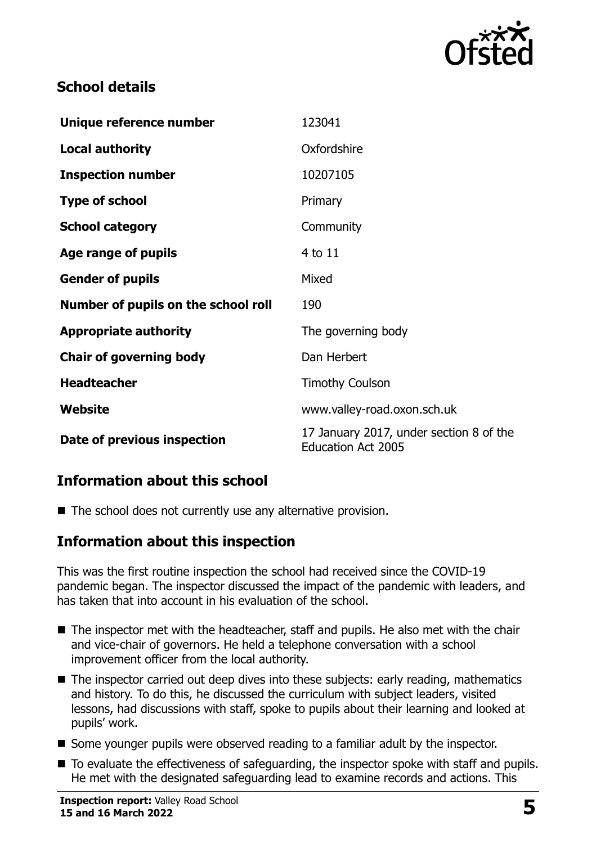

# **School details**

| Unique reference number             | 123041                                                               |
|-------------------------------------|----------------------------------------------------------------------|
| <b>Local authority</b>              | Oxfordshire                                                          |
| <b>Inspection number</b>            | 10207105                                                             |
| <b>Type of school</b>               | Primary                                                              |
| <b>School category</b>              | Community                                                            |
| Age range of pupils                 | 4 to 11                                                              |
| <b>Gender of pupils</b>             | Mixed                                                                |
| Number of pupils on the school roll | 190                                                                  |
| <b>Appropriate authority</b>        | The governing body                                                   |
| <b>Chair of governing body</b>      | Dan Herbert                                                          |
| <b>Headteacher</b>                  | <b>Timothy Coulson</b>                                               |
| Website                             | www.valley-road.oxon.sch.uk                                          |
| Date of previous inspection         | 17 January 2017, under section 8 of the<br><b>Education Act 2005</b> |

# **Information about this school**

■ The school does not currently use any alternative provision.

#### **Information about this inspection**

This was the first routine inspection the school had received since the COVID-19 pandemic began. The inspector discussed the impact of the pandemic with leaders, and has taken that into account in his evaluation of the school.

- The inspector met with the headteacher, staff and pupils. He also met with the chair and vice-chair of governors. He held a telephone conversation with a school improvement officer from the local authority.
- The inspector carried out deep dives into these subjects: early reading, mathematics and history. To do this, he discussed the curriculum with subject leaders, visited lessons, had discussions with staff, spoke to pupils about their learning and looked at pupils' work.
- Some younger pupils were observed reading to a familiar adult by the inspector.
- To evaluate the effectiveness of safeguarding, the inspector spoke with staff and pupils. He met with the designated safeguarding lead to examine records and actions. This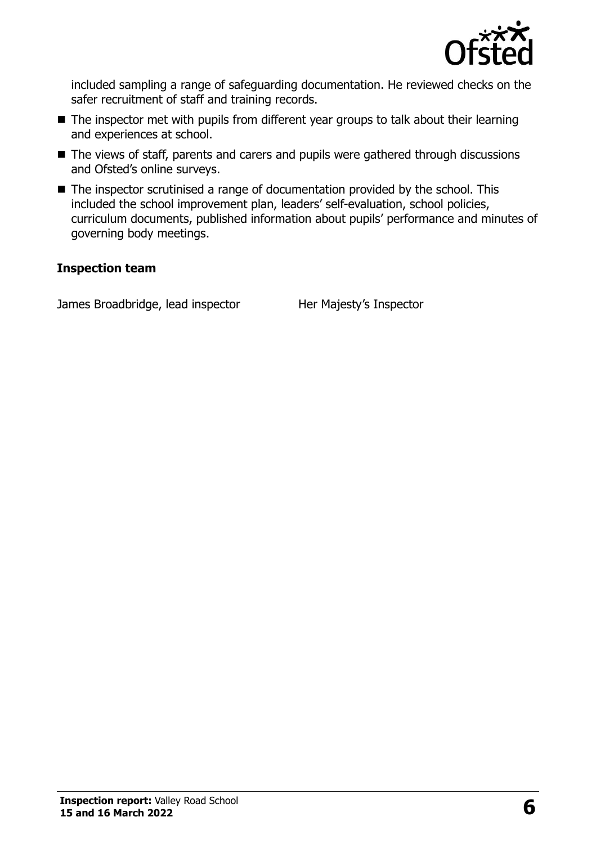

included sampling a range of safeguarding documentation. He reviewed checks on the safer recruitment of staff and training records.

- The inspector met with pupils from different year groups to talk about their learning and experiences at school.
- The views of staff, parents and carers and pupils were gathered through discussions and Ofsted's online surveys.
- The inspector scrutinised a range of documentation provided by the school. This included the school improvement plan, leaders' self-evaluation, school policies, curriculum documents, published information about pupils' performance and minutes of governing body meetings.

#### **Inspection team**

James Broadbridge, lead inspector Her Majesty's Inspector